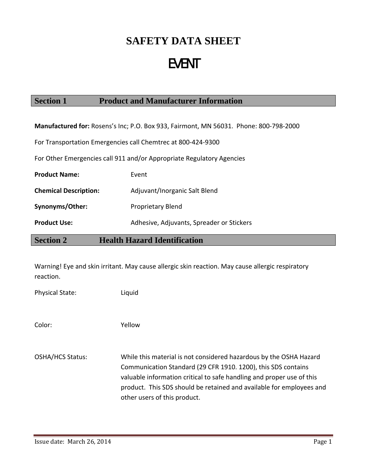# **SAFETY DATA SHEET**

# EVENT

### **Section 1 Product and Manufacturer Information**

**Manufactured for:** Rosens's Inc; P.O. Box 933, Fairmont, MN 56031. Phone: 800‐798‐2000

For Transportation Emergencies call Chemtrec at 800‐424‐9300

For Other Emergencies call 911 and/or Appropriate Regulatory Agencies

| <b>Product Name:</b>         | Event                                     |
|------------------------------|-------------------------------------------|
| <b>Chemical Description:</b> | Adjuvant/Inorganic Salt Blend             |
| Synonyms/Other:              | <b>Proprietary Blend</b>                  |
| <b>Product Use:</b>          | Adhesive, Adjuvants, Spreader or Stickers |

**Section 2 Health Hazard Identification** 

Warning! Eye and skin irritant. May cause allergic skin reaction. May cause allergic respiratory reaction.

Physical State: Liquid

Color: Yellow

OSHA/HCS Status: While this material is not considered hazardous by the OSHA Hazard Communication Standard (29 CFR 1910. 1200), this SDS contains valuable information critical to safe handling and proper use of this product. This SDS should be retained and available for employees and other users of this product.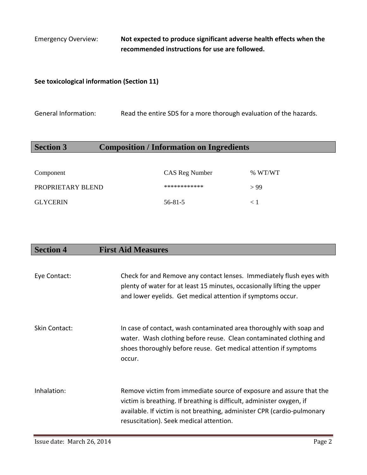Emergency Overview: **Not expected to produce significant adverse health effects when the recommended instructions for use are followed.**

#### **See toxicological information (Section 11)**

General Information: Read the entire SDS for a more thorough evaluation of the hazards.

### **Section 3 Composition / Information on Ingredients**

| Component         | CAS Reg Number | % WT/WT |
|-------------------|----------------|---------|
| PROPRIETARY BLEND | ************   | > 99    |
| <b>GLYCERIN</b>   | $56 - 81 - 5$  | ุ 1     |

### **Section 4 First Aid Measures**

| Eye Contact:  | Check for and Remove any contact lenses. Immediately flush eyes with<br>plenty of water for at least 15 minutes, occasionally lifting the upper<br>and lower eyelids. Get medical attention if symptoms occur.                                                     |
|---------------|--------------------------------------------------------------------------------------------------------------------------------------------------------------------------------------------------------------------------------------------------------------------|
| Skin Contact: | In case of contact, wash contaminated area thoroughly with soap and<br>water. Wash clothing before reuse. Clean contaminated clothing and<br>shoes thoroughly before reuse. Get medical attention if symptoms<br>occur.                                            |
| Inhalation:   | Remove victim from immediate source of exposure and assure that the<br>victim is breathing. If breathing is difficult, administer oxygen, if<br>available. If victim is not breathing, administer CPR (cardio-pulmonary<br>resuscitation). Seek medical attention. |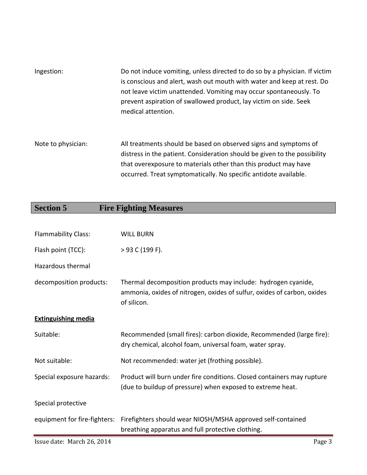| Ingestion:         | Do not induce vomiting, unless directed to do so by a physician. If victim<br>is conscious and alert, wash out mouth with water and keep at rest. Do<br>not leave victim unattended. Vomiting may occur spontaneously. To<br>prevent aspiration of swallowed product, lay victim on side. Seek<br>medical attention. |
|--------------------|----------------------------------------------------------------------------------------------------------------------------------------------------------------------------------------------------------------------------------------------------------------------------------------------------------------------|
| Note to physician: | All treatments should be based on observed signs and symptoms of<br>distress in the patient. Consideration should be given to the possibility                                                                                                                                                                        |

| uistress in the patient. Consideration should be given to the possibility |
|---------------------------------------------------------------------------|
| that overexposure to materials other than this product may have           |
| occurred. Treat symptomatically. No specific antidote available.          |
|                                                                           |

| <b>Section 5</b>             | <b>Fire Fighting Measures</b>                                                                                                                           |
|------------------------------|---------------------------------------------------------------------------------------------------------------------------------------------------------|
|                              |                                                                                                                                                         |
| <b>Flammability Class:</b>   | <b>WILL BURN</b>                                                                                                                                        |
| Flash point (TCC):           | $>$ 93 C (199 F).                                                                                                                                       |
| <b>Hazardous thermal</b>     |                                                                                                                                                         |
| decomposition products:      | Thermal decomposition products may include: hydrogen cyanide,<br>ammonia, oxides of nitrogen, oxides of sulfur, oxides of carbon, oxides<br>of silicon. |
| <b>Extinguishing media</b>   |                                                                                                                                                         |
| Suitable:                    | Recommended (small fires): carbon dioxide, Recommended (large fire):<br>dry chemical, alcohol foam, universal foam, water spray.                        |
| Not suitable:                | Not recommended: water jet (frothing possible).                                                                                                         |
| Special exposure hazards:    | Product will burn under fire conditions. Closed containers may rupture<br>(due to buildup of pressure) when exposed to extreme heat.                    |
| Special protective           |                                                                                                                                                         |
| equipment for fire-fighters: | Firefighters should wear NIOSH/MSHA approved self-contained<br>breathing apparatus and full protective clothing.                                        |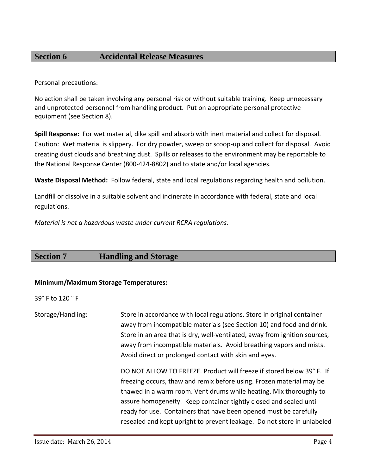### **Section 6 Accidental Release Measures**

Personal precautions:

No action shall be taken involving any personal risk or without suitable training. Keep unnecessary and unprotected personnel from handling product. Put on appropriate personal protective equipment (see Section 8).

**Spill Response:** For wet material, dike spill and absorb with inert material and collect for disposal. Caution: Wet material is slippery. For dry powder, sweep or scoop‐up and collect for disposal. Avoid creating dust clouds and breathing dust. Spills or releases to the environment may be reportable to the National Response Center (800‐424‐8802) and to state and/or local agencies.

**Waste Disposal Method:** Follow federal, state and local regulations regarding health and pollution.

Landfill or dissolve in a suitable solvent and incinerate in accordance with federal, state and local regulations.

*Material is not a hazardous waste under current RCRA regulations.*

#### **Section 7 Handling and Storage**

#### **Minimum/Maximum Storage Temperatures:**

39° F to 120 ° F

Storage/Handling: Store in accordance with local regulations. Store in original container away from incompatible materials (see Section 10) and food and drink. Store in an area that is dry, well-ventilated, away from ignition sources, away from incompatible materials. Avoid breathing vapors and mists. Avoid direct or prolonged contact with skin and eyes.

> DO NOT ALLOW TO FREEZE. Product will freeze if stored below 39° F. If freezing occurs, thaw and remix before using. Frozen material may be thawed in a warm room. Vent drums while heating. Mix thoroughly to assure homogeneity. Keep container tightly closed and sealed until ready for use. Containers that have been opened must be carefully resealed and kept upright to prevent leakage. Do not store in unlabeled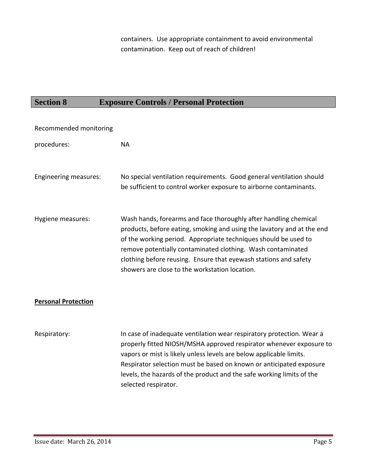containers. Use appropriate containment to avoid environmental contamination. Keep out of reach of children!

# **Section 8 Exposure Controls / Personal Protection**

| Recommended monitoring     |                                                                                                                                                                                                                                                                                                                                                                                                    |
|----------------------------|----------------------------------------------------------------------------------------------------------------------------------------------------------------------------------------------------------------------------------------------------------------------------------------------------------------------------------------------------------------------------------------------------|
| procedures:                | <b>NA</b>                                                                                                                                                                                                                                                                                                                                                                                          |
| Engineering measures:      | No special ventilation requirements. Good general ventilation should<br>be sufficient to control worker exposure to airborne contaminants.                                                                                                                                                                                                                                                         |
| Hygiene measures:          | Wash hands, forearms and face thoroughly after handling chemical<br>products, before eating, smoking and using the lavatory and at the end<br>of the working period. Appropriate techniques should be used to<br>remove potentially contaminated clothing. Wash contaminated<br>clothing before reusing. Ensure that eyewash stations and safety<br>showers are close to the workstation location. |
| <b>Personal Protection</b> |                                                                                                                                                                                                                                                                                                                                                                                                    |
| Respiratory:               | In case of inadequate ventilation wear respiratory protection. Wear a<br>properly fitted NIOSH/MSHA approved respirator whenever exposure to<br>vapors or mist is likely unless levels are below applicable limits.<br>Respirator selection must be based on known or anticipated exposure<br>levels, the hazards of the product and the safe working limits of the<br>selected respirator.        |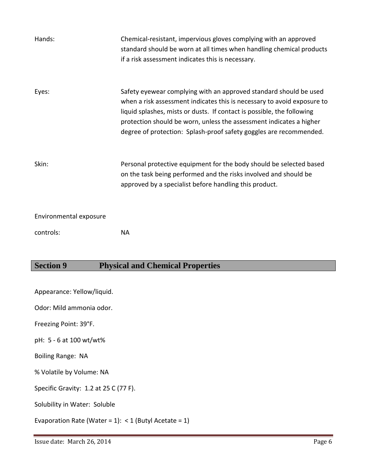| Hands:                 | Chemical-resistant, impervious gloves complying with an approved<br>standard should be worn at all times when handling chemical products<br>if a risk assessment indicates this is necessary.                                                                                                                                                                       |
|------------------------|---------------------------------------------------------------------------------------------------------------------------------------------------------------------------------------------------------------------------------------------------------------------------------------------------------------------------------------------------------------------|
| Eyes:                  | Safety eyewear complying with an approved standard should be used<br>when a risk assessment indicates this is necessary to avoid exposure to<br>liquid splashes, mists or dusts. If contact is possible, the following<br>protection should be worn, unless the assessment indicates a higher<br>degree of protection: Splash-proof safety goggles are recommended. |
| Skin:                  | Personal protective equipment for the body should be selected based<br>on the task being performed and the risks involved and should be<br>approved by a specialist before handling this product.                                                                                                                                                                   |
| Environmental exposure |                                                                                                                                                                                                                                                                                                                                                                     |
| controls:              | NА                                                                                                                                                                                                                                                                                                                                                                  |

## **Section 9 Physical and Chemical Properties**

Appearance: Yellow/liquid.

Odor: Mild ammonia odor.

Freezing Point: 39°F.

pH: 5 ‐ 6 at 100 wt/wt%

Boiling Range: NA

% Volatile by Volume: NA

Specific Gravity: 1.2 at 25 C (77 F).

Solubility in Water: Soluble

Evaporation Rate (Water = 1):  $<$  1 (Butyl Acetate = 1)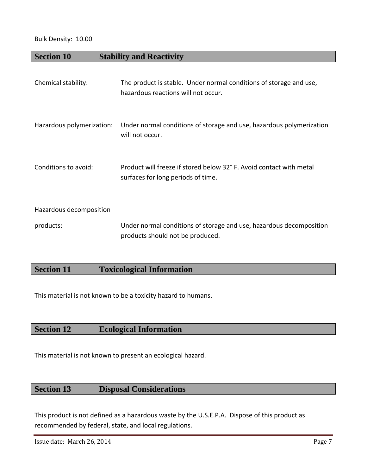#### Bulk Density: 10.00

### **Section 10 Stability and Reactivity**

| Chemical stability:       | The product is stable. Under normal conditions of storage and use,<br>hazardous reactions will not occur. |
|---------------------------|-----------------------------------------------------------------------------------------------------------|
| Hazardous polymerization: | Under normal conditions of storage and use, hazardous polymerization<br>will not occur.                   |
| Conditions to avoid:      | Product will freeze if stored below 32° F. Avoid contact with metal<br>surfaces for long periods of time. |
| Hazardous decomposition   |                                                                                                           |
| products:                 | Under normal conditions of storage and use, hazardous decomposition<br>products should not be produced.   |

### **Section 11 Toxicological Information**

This material is not known to be a toxicity hazard to humans.

### **Section 12 Ecological Information**

This material is not known to present an ecological hazard.

### **Section 13 Disposal Considerations**

This product is not defined as a hazardous waste by the U.S.E.P.A. Dispose of this product as recommended by federal, state, and local regulations.